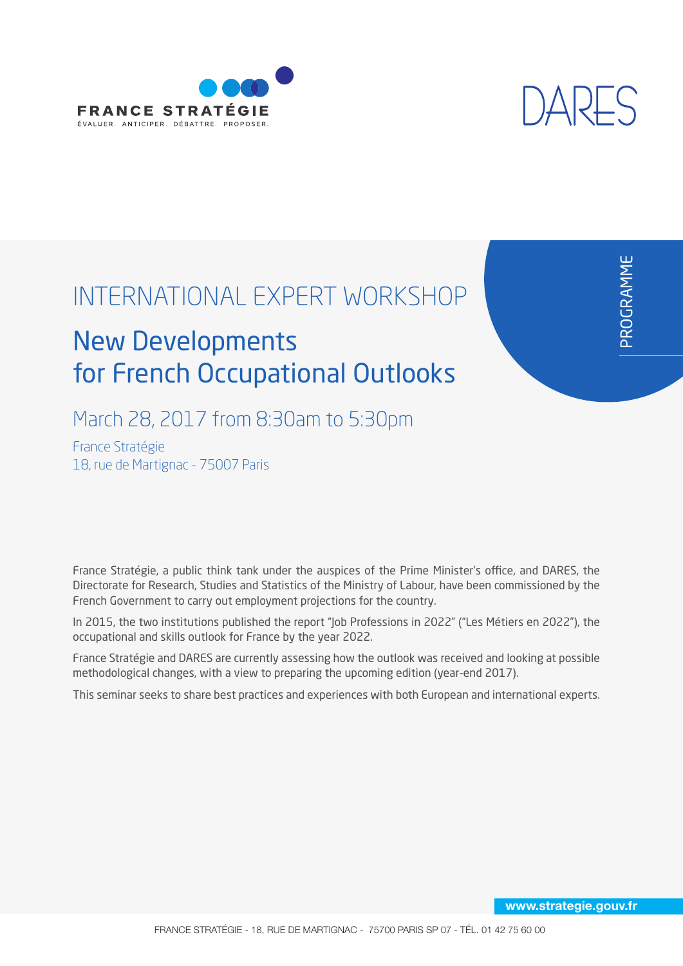



മ  $\propto$  $\overline{\mathsf{O}}$ G  $\propto$  $\blacktriangleleft$ Σ,  $\mathsf{\Sigma}% _{T}$ E

# INTERNATIONAL EXPERT WORKSHOP

# New Developments for French Occupational Outlooks

# March 28, 2017 from 8:30am to 5:30pm

France Stratégie 18, rue de Martignac - 75007 Paris

France Stratégie, a public think tank under the auspices of the Prime Minister's office, and DARES, the Directorate for Research, Studies and Statistics of the Ministry of Labour, have been commissioned by the French Government to carry out employment projections for the country.

In 2015, the two institutions published the report "Job Professions in 2022" ("Les Métiers en 2022"), the occupational and skills outlook for France by the year 2022.

France Stratégie and DARES are currently assessing how the outlook was received and looking at possible methodological changes, with a view to preparing the upcoming edition (year-end 2017).

This seminar seeks to share best practices and experiences with both European and international experts.

www.strategie.gouv.fr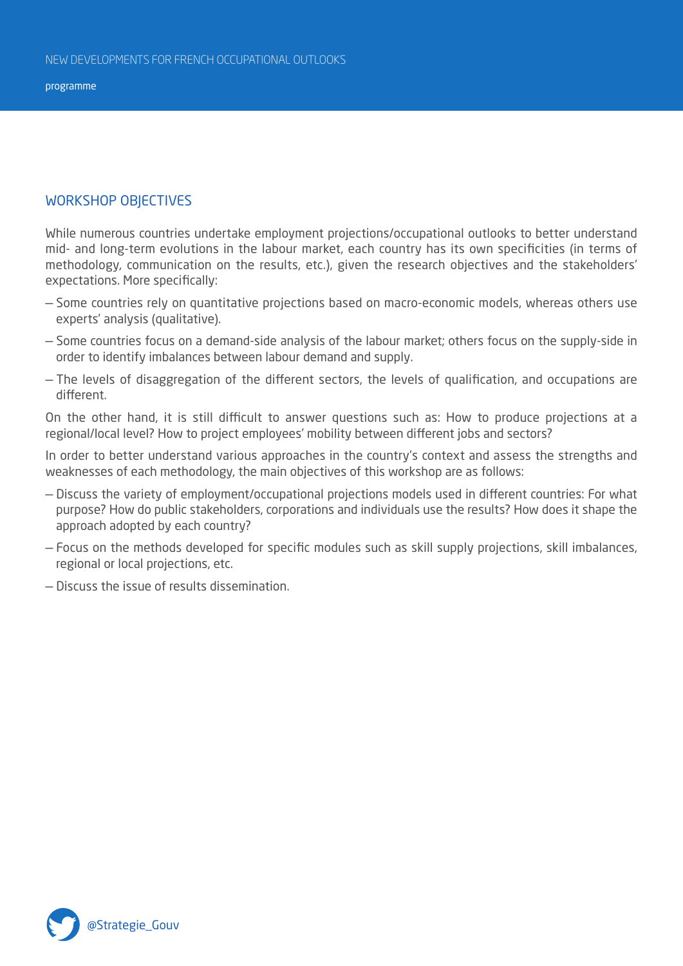programme

#### WORkShOP ObJEcTIvES

While numerous countries undertake employment projections/occupational outlooks to better understand mid- and long-term evolutions in the labour market, each country has its own specificities (in terms of methodology, communication on the results, etc.), given the research objectives and the stakeholders' expectations. More specifically:

- Some countries rely on quantitative projections based on macro-economic models, whereas others use experts' analysis (qualitative).
- Some countries focus on a demand-side analysis of the labour market; others focus on the supply-side in order to identify imbalances between labour demand and supply.
- The levels of disaggregation of the different sectors, the levels of qualification, and occupations are different.

On the other hand, it is still difficult to answer questions such as: how to produce projections at a regional/local level? how to project employees' mobility between different jobs and sectors?

In order to better understand various approaches in the country's context and assess the strengths and weaknesses of each methodology, the main objectives of this workshop are as follows:

- Discuss the variety of employment/occupational projections models used in different countries: For what purpose? how do public stakeholders, corporations and individuals use the results? how does it shape the approach adopted by each country?
- Focus on the methods developed for specific modules such as skill supply projections, skill imbalances, regional or local projections, etc.
- Discuss the issue of results dissemination.

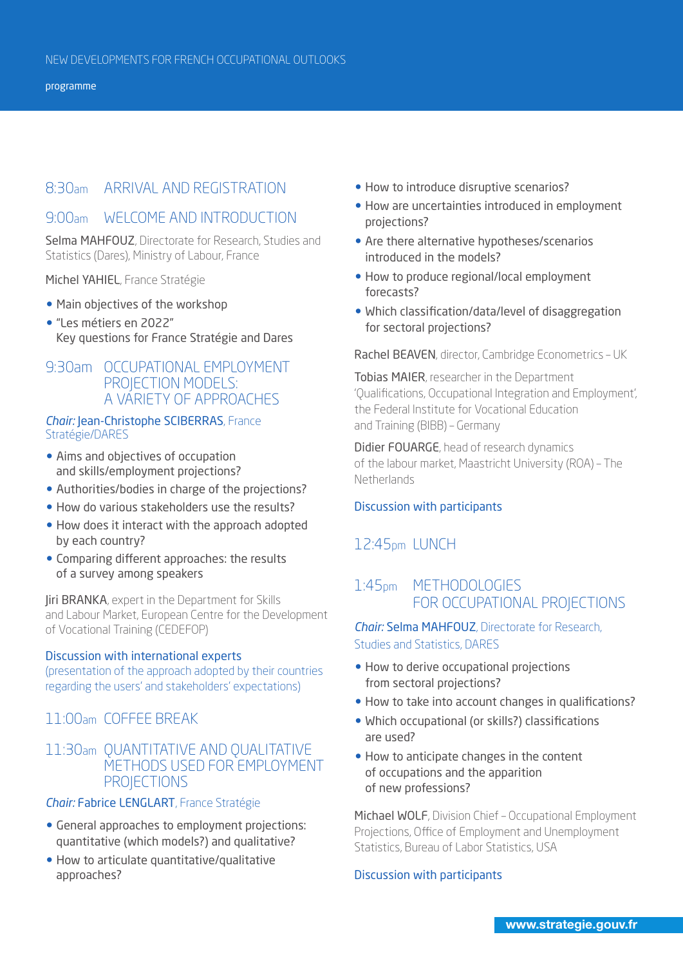# 8:30am ARRIVAL AND REGISTRATION

# 9:00am WELcOME AND INTRODucTION

Selma MAHFOUZ, Directorate for Research, Studies and Statistics (Dares), Ministry of Labour, France

Michel YAhIEL, France Stratégie

- Main objectives of the workshop
- l "Les métiers en 2022" key questions for France Stratégie and Dares

# 9:30am OCCUPATIONAL EMPLOYMENT PROJECTION MODELS: A vARIETy OF APPROAcHES

#### *Chair:* Jean-Christophe SCIBERRAS, France Stratégie/DARES

- Aims and objectives of occupation and skills/employment projections?
- Authorities/bodies in charge of the projections?
- How do various stakeholders use the results?
- How does it interact with the approach adopted by each country?
- Comparing different approaches: the results of a survey among speakers

**Jiri BRANKA**, expert in the Department for Skills and Labour Market, European centre for the Development of vocational Training (cEDEFOP)

#### Discussion with international experts

(presentation of the approach adopted by their countries regarding the users' and stakeholders' expectations)

# 11:00am cOFFEE bREAK

# 11:30am QuANTITATIvE AND QuALITATIvE METHODS uSED FOR EMPLOyMENT **PROJECTIONS**

#### *Chair:* Fabrice LENGLART, France Stratégie

- **.** General approaches to employment projections: quantitative (which models?) and qualitative?
- How to articulate quantitative/qualitative approaches?
- How to introduce disruptive scenarios?
- How are uncertainties introduced in employment projections?
- Are there alternative hypotheses/scenarios introduced in the models?
- How to produce regional/local employment forecasts?
- Which classification/data/level of disaggregation for sectoral projections?

Rachel BEAVEN, director, Cambridge Econometrics - UK

Tobias MAIER, researcher in the Department 'Qualifications, Occupational Integration and Employment', the Federal Institute for vocational Education and Training (BIBB) – Germany

Didier FOUARGE, head of research dynamics of the labour market, Maastricht University (ROA) - The **Netherlands** 

#### Discussion with participants

# 12:45pm LuNcH

# 1:45pm METHODOLOgIES FOR OccuPATIONAL PROjEcTIONS

#### *Chair: Selma MAHFOUZ, Directorate for Research,* Studies and Statistics, DARES

- How to derive occupational projections from sectoral projections?
- How to take into account changes in qualifications?
- Which occupational (or skills?) classifications are used?
- How to anticipate changes in the content of occupations and the apparition of new professions?

Michael WOLF, Division chief – Occupational Employment Projections, Office of Employment and Unemployment Statistics, Bureau of Labor Statistics, USA

#### Discussion with participants